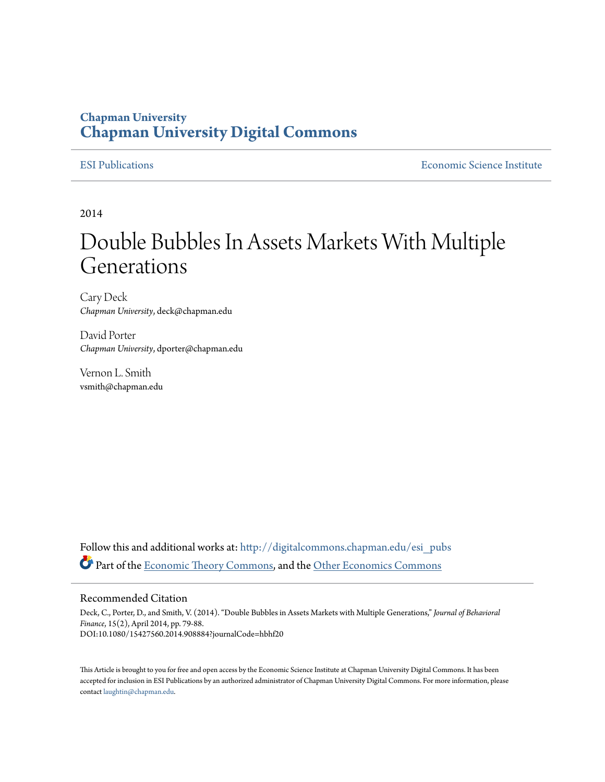### **Chapman University [Chapman University Digital Commons](http://digitalcommons.chapman.edu?utm_source=digitalcommons.chapman.edu%2Fesi_pubs%2F80&utm_medium=PDF&utm_campaign=PDFCoverPages)**

[ESI Publications](http://digitalcommons.chapman.edu/esi_pubs?utm_source=digitalcommons.chapman.edu%2Fesi_pubs%2F80&utm_medium=PDF&utm_campaign=PDFCoverPages) [Economic Science Institute](http://digitalcommons.chapman.edu/esi?utm_source=digitalcommons.chapman.edu%2Fesi_pubs%2F80&utm_medium=PDF&utm_campaign=PDFCoverPages)

2014

# Double Bubbles In Assets Markets With Multiple Generations

Cary Deck *Chapman University*, deck@chapman.edu

David Porter *Chapman University*, dporter@chapman.edu

Vernon L. Smith vsmith@chapman.edu

Follow this and additional works at: [http://digitalcommons.chapman.edu/esi\\_pubs](http://digitalcommons.chapman.edu/esi_pubs?utm_source=digitalcommons.chapman.edu%2Fesi_pubs%2F80&utm_medium=PDF&utm_campaign=PDFCoverPages) Part of the [Economic Theory Commons,](http://network.bepress.com/hgg/discipline/344?utm_source=digitalcommons.chapman.edu%2Fesi_pubs%2F80&utm_medium=PDF&utm_campaign=PDFCoverPages) and the [Other Economics Commons](http://network.bepress.com/hgg/discipline/353?utm_source=digitalcommons.chapman.edu%2Fesi_pubs%2F80&utm_medium=PDF&utm_campaign=PDFCoverPages)

#### Recommended Citation

Deck, C., Porter, D., and Smith, V. (2014). "Double Bubbles in Assets Markets with Multiple Generations," *Journal of Behavioral Finance*, 15(2), April 2014, pp. 79-88. DOI:10.1080/15427560.2014.908884?journalCode=hbhf20

This Article is brought to you for free and open access by the Economic Science Institute at Chapman University Digital Commons. It has been accepted for inclusion in ESI Publications by an authorized administrator of Chapman University Digital Commons. For more information, please contact [laughtin@chapman.edu](mailto:laughtin@chapman.edu).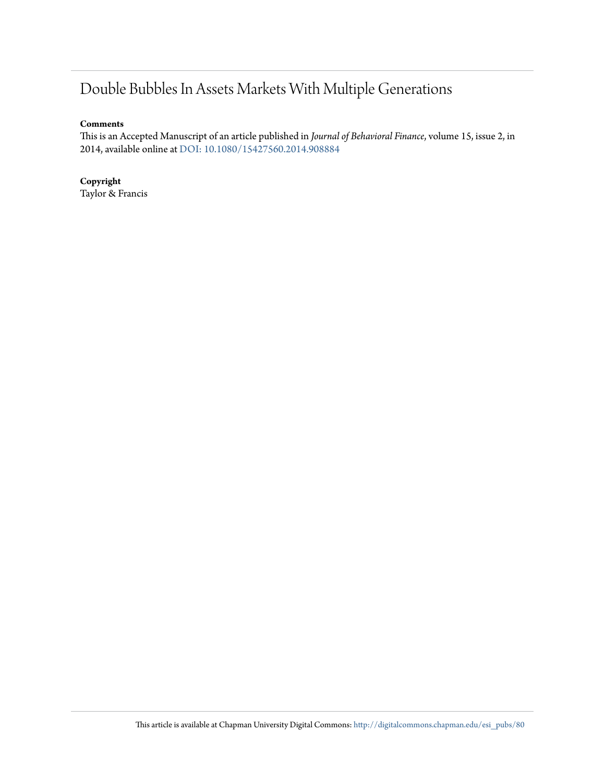## Double Bubbles In Assets Markets With Multiple Generations

#### **Comments**

This is an Accepted Manuscript of an article published in *Journal of Behavioral Finance*, volume 15, issue 2, in 2014, available online at [DOI: 10.1080/15427560.2014.908884](http://www.tandfonline.com/doi/abs/10.1080/15427560.2014.908884?journalCode=hbhf20)

**Copyright** Taylor & Francis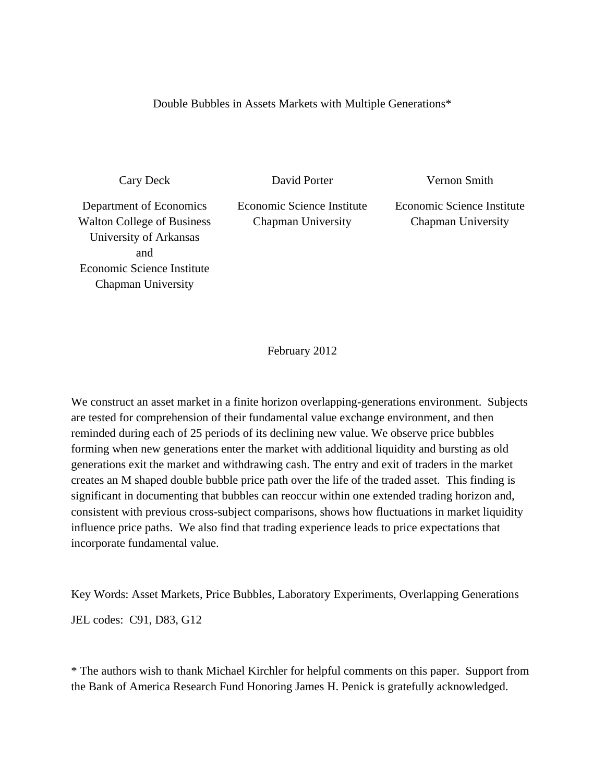Double Bubbles in Assets Markets with Multiple Generations\*

Cary Deck David Porter Vernon Smith

Department of Economics Walton College of Business University of Arkansas and Economic Science Institute Chapman University

Economic Science Institute Chapman University

Economic Science Institute Chapman University

February 2012

We construct an asset market in a finite horizon overlapping-generations environment. Subjects are tested for comprehension of their fundamental value exchange environment, and then reminded during each of 25 periods of its declining new value. We observe price bubbles forming when new generations enter the market with additional liquidity and bursting as old generations exit the market and withdrawing cash. The entry and exit of traders in the market creates an M shaped double bubble price path over the life of the traded asset. This finding is significant in documenting that bubbles can reoccur within one extended trading horizon and, consistent with previous cross-subject comparisons, shows how fluctuations in market liquidity influence price paths. We also find that trading experience leads to price expectations that incorporate fundamental value.

Key Words: Asset Markets, Price Bubbles, Laboratory Experiments, Overlapping Generations JEL codes: C91, D83, G12

\* The authors wish to thank Michael Kirchler for helpful comments on this paper. Support from the Bank of America Research Fund Honoring James H. Penick is gratefully acknowledged.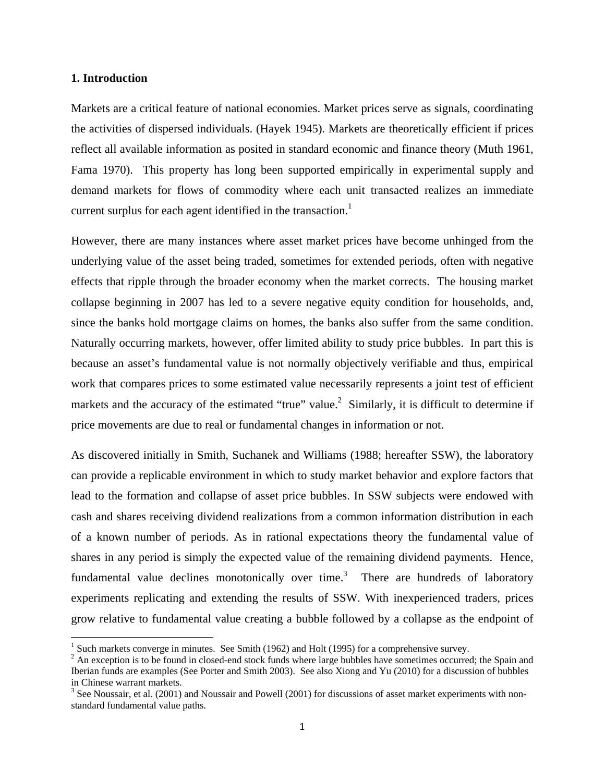#### **1. Introduction**

Markets are a critical feature of national economies. Market prices serve as signals, coordinating the activities of dispersed individuals. (Hayek 1945). Markets are theoretically efficient if prices reflect all available information as posited in standard economic and finance theory (Muth 1961, Fama 1970). This property has long been supported empirically in experimental supply and demand markets for flows of commodity where each unit transacted realizes an immediate current surplus for each agent identified in the transaction.<sup>1</sup>

However, there are many instances where asset market prices have become unhinged from the underlying value of the asset being traded, sometimes for extended periods, often with negative effects that ripple through the broader economy when the market corrects. The housing market collapse beginning in 2007 has led to a severe negative equity condition for households, and, since the banks hold mortgage claims on homes, the banks also suffer from the same condition. Naturally occurring markets, however, offer limited ability to study price bubbles. In part this is because an asset's fundamental value is not normally objectively verifiable and thus, empirical work that compares prices to some estimated value necessarily represents a joint test of efficient markets and the accuracy of the estimated "true" value.<sup>2</sup> Similarly, it is difficult to determine if price movements are due to real or fundamental changes in information or not.

As discovered initially in Smith, Suchanek and Williams (1988; hereafter SSW), the laboratory can provide a replicable environment in which to study market behavior and explore factors that lead to the formation and collapse of asset price bubbles. In SSW subjects were endowed with cash and shares receiving dividend realizations from a common information distribution in each of a known number of periods. As in rational expectations theory the fundamental value of shares in any period is simply the expected value of the remaining dividend payments. Hence, fundamental value declines monotonically over time.<sup>3</sup> There are hundreds of laboratory experiments replicating and extending the results of SSW. With inexperienced traders, prices grow relative to fundamental value creating a bubble followed by a collapse as the endpoint of

<sup>&</sup>lt;sup>1</sup> Such markets converge in minutes. See Smith (1962) and Holt (1995) for a comprehensive survey.<br> $2^{2}$  An execution is to be found in alogod and stock funds where large bubbles have sometimes occurred

<sup>&</sup>lt;sup>2</sup> An exception is to be found in closed-end stock funds where large bubbles have sometimes occurred; the Spain and Iberian funds are examples (See Porter and Smith 2003). See also Xiong and Yu (2010) for a discussion of bubbles in Chinese warrant markets.

 $3$  See Noussair, et al. (2001) and Noussair and Powell (2001) for discussions of asset market experiments with nonstandard fundamental value paths.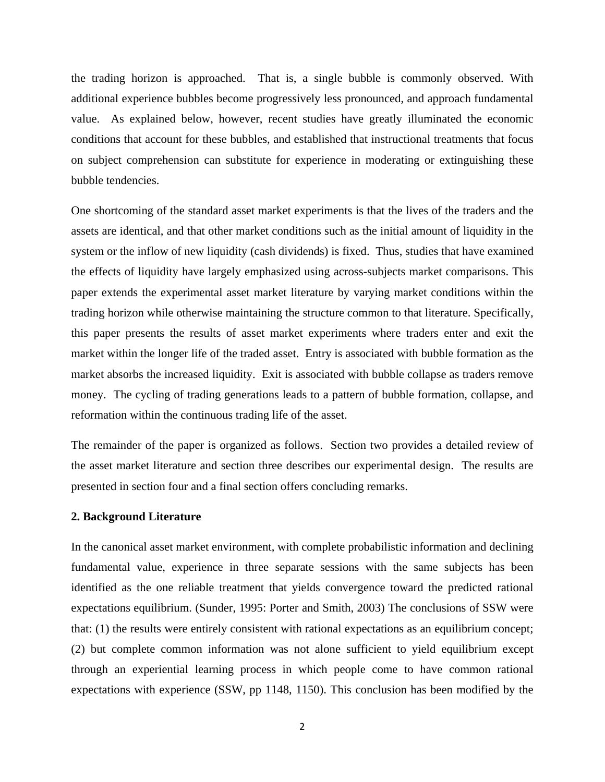the trading horizon is approached. That is, a single bubble is commonly observed. With additional experience bubbles become progressively less pronounced, and approach fundamental value. As explained below, however, recent studies have greatly illuminated the economic conditions that account for these bubbles, and established that instructional treatments that focus on subject comprehension can substitute for experience in moderating or extinguishing these bubble tendencies.

One shortcoming of the standard asset market experiments is that the lives of the traders and the assets are identical, and that other market conditions such as the initial amount of liquidity in the system or the inflow of new liquidity (cash dividends) is fixed. Thus, studies that have examined the effects of liquidity have largely emphasized using across-subjects market comparisons. This paper extends the experimental asset market literature by varying market conditions within the trading horizon while otherwise maintaining the structure common to that literature. Specifically, this paper presents the results of asset market experiments where traders enter and exit the market within the longer life of the traded asset. Entry is associated with bubble formation as the market absorbs the increased liquidity. Exit is associated with bubble collapse as traders remove money. The cycling of trading generations leads to a pattern of bubble formation, collapse, and reformation within the continuous trading life of the asset.

The remainder of the paper is organized as follows. Section two provides a detailed review of the asset market literature and section three describes our experimental design. The results are presented in section four and a final section offers concluding remarks.

#### **2. Background Literature**

In the canonical asset market environment, with complete probabilistic information and declining fundamental value, experience in three separate sessions with the same subjects has been identified as the one reliable treatment that yields convergence toward the predicted rational expectations equilibrium. (Sunder, 1995: Porter and Smith, 2003) The conclusions of SSW were that: (1) the results were entirely consistent with rational expectations as an equilibrium concept; (2) but complete common information was not alone sufficient to yield equilibrium except through an experiential learning process in which people come to have common rational expectations with experience (SSW, pp 1148, 1150). This conclusion has been modified by the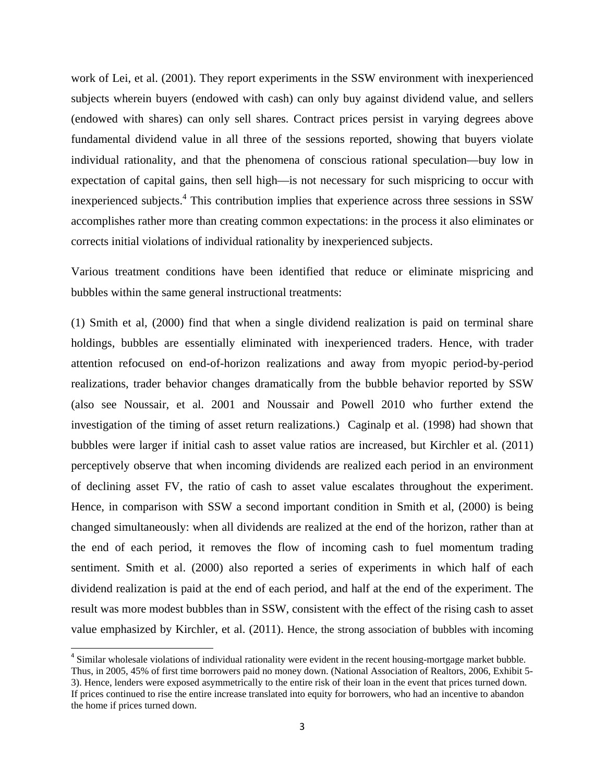work of Lei, et al. (2001). They report experiments in the SSW environment with inexperienced subjects wherein buyers (endowed with cash) can only buy against dividend value, and sellers (endowed with shares) can only sell shares. Contract prices persist in varying degrees above fundamental dividend value in all three of the sessions reported, showing that buyers violate individual rationality, and that the phenomena of conscious rational speculation—buy low in expectation of capital gains, then sell high—is not necessary for such mispricing to occur with inexperienced subjects.<sup>4</sup> This contribution implies that experience across three sessions in SSW accomplishes rather more than creating common expectations: in the process it also eliminates or corrects initial violations of individual rationality by inexperienced subjects.

Various treatment conditions have been identified that reduce or eliminate mispricing and bubbles within the same general instructional treatments:

(1) Smith et al, (2000) find that when a single dividend realization is paid on terminal share holdings, bubbles are essentially eliminated with inexperienced traders. Hence, with trader attention refocused on end-of-horizon realizations and away from myopic period-by-period realizations, trader behavior changes dramatically from the bubble behavior reported by SSW (also see Noussair, et al. 2001 and Noussair and Powell 2010 who further extend the investigation of the timing of asset return realizations.) Caginalp et al. (1998) had shown that bubbles were larger if initial cash to asset value ratios are increased, but Kirchler et al. (2011) perceptively observe that when incoming dividends are realized each period in an environment of declining asset FV, the ratio of cash to asset value escalates throughout the experiment. Hence, in comparison with SSW a second important condition in Smith et al, (2000) is being changed simultaneously: when all dividends are realized at the end of the horizon, rather than at the end of each period, it removes the flow of incoming cash to fuel momentum trading sentiment. Smith et al. (2000) also reported a series of experiments in which half of each dividend realization is paid at the end of each period, and half at the end of the experiment. The result was more modest bubbles than in SSW, consistent with the effect of the rising cash to asset value emphasized by Kirchler, et al. (2011). Hence, the strong association of bubbles with incoming

<sup>&</sup>lt;sup>4</sup> Similar wholesale violations of individual rationality were evident in the recent housing-mortgage market bubble. Thus, in 2005, 45% of first time borrowers paid no money down. (National Association of Realtors, 2006, Exhibit 5- 3). Hence, lenders were exposed asymmetrically to the entire risk of their loan in the event that prices turned down. If prices continued to rise the entire increase translated into equity for borrowers, who had an incentive to abandon the home if prices turned down.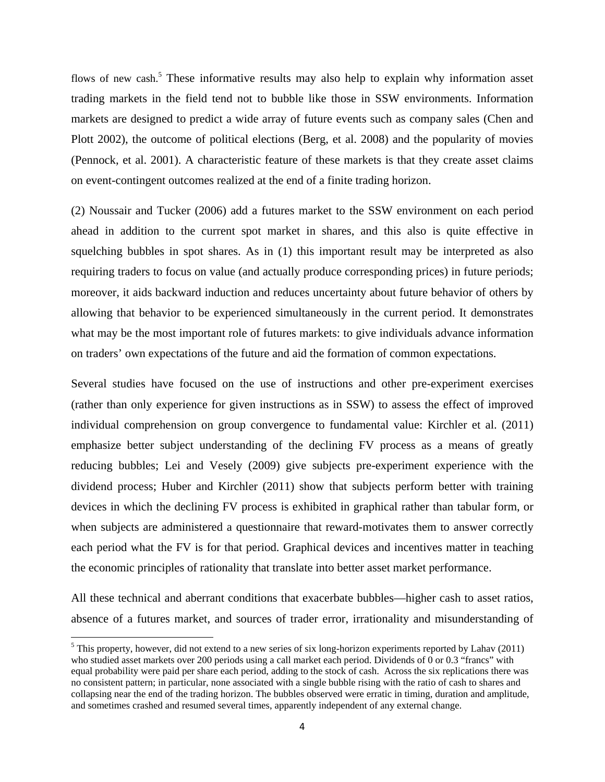flows of new cash.<sup>5</sup> These informative results may also help to explain why information asset trading markets in the field tend not to bubble like those in SSW environments. Information markets are designed to predict a wide array of future events such as company sales (Chen and Plott 2002), the outcome of political elections (Berg, et al. 2008) and the popularity of movies (Pennock, et al. 2001). A characteristic feature of these markets is that they create asset claims on event-contingent outcomes realized at the end of a finite trading horizon.

(2) Noussair and Tucker (2006) add a futures market to the SSW environment on each period ahead in addition to the current spot market in shares, and this also is quite effective in squelching bubbles in spot shares. As in (1) this important result may be interpreted as also requiring traders to focus on value (and actually produce corresponding prices) in future periods; moreover, it aids backward induction and reduces uncertainty about future behavior of others by allowing that behavior to be experienced simultaneously in the current period. It demonstrates what may be the most important role of futures markets: to give individuals advance information on traders' own expectations of the future and aid the formation of common expectations.

Several studies have focused on the use of instructions and other pre-experiment exercises (rather than only experience for given instructions as in SSW) to assess the effect of improved individual comprehension on group convergence to fundamental value: Kirchler et al. (2011) emphasize better subject understanding of the declining FV process as a means of greatly reducing bubbles; Lei and Vesely (2009) give subjects pre-experiment experience with the dividend process; Huber and Kirchler (2011) show that subjects perform better with training devices in which the declining FV process is exhibited in graphical rather than tabular form, or when subjects are administered a questionnaire that reward-motivates them to answer correctly each period what the FV is for that period. Graphical devices and incentives matter in teaching the economic principles of rationality that translate into better asset market performance.

All these technical and aberrant conditions that exacerbate bubbles—higher cash to asset ratios, absence of a futures market, and sources of trader error, irrationality and misunderstanding of

 $<sup>5</sup>$  This property, however, did not extend to a new series of six long-horizon experiments reported by Lahav (2011)</sup> who studied asset markets over 200 periods using a call market each period. Dividends of 0 or 0.3 "francs" with equal probability were paid per share each period, adding to the stock of cash. Across the six replications there was no consistent pattern; in particular, none associated with a single bubble rising with the ratio of cash to shares and collapsing near the end of the trading horizon. The bubbles observed were erratic in timing, duration and amplitude, and sometimes crashed and resumed several times, apparently independent of any external change.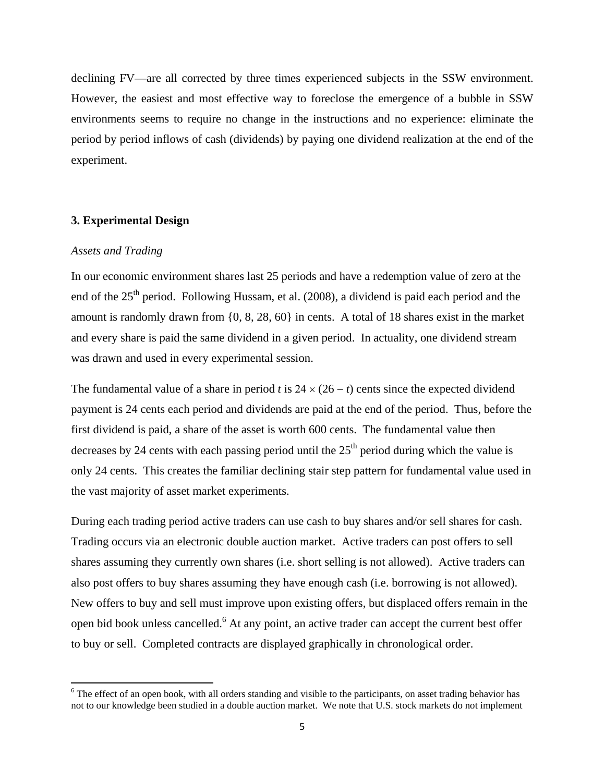declining FV—are all corrected by three times experienced subjects in the SSW environment. However, the easiest and most effective way to foreclose the emergence of a bubble in SSW environments seems to require no change in the instructions and no experience: eliminate the period by period inflows of cash (dividends) by paying one dividend realization at the end of the experiment.

#### **3. Experimental Design**

#### *Assets and Trading*

In our economic environment shares last 25 periods and have a redemption value of zero at the end of the 25<sup>th</sup> period. Following Hussam, et al. (2008), a dividend is paid each period and the amount is randomly drawn from {0, 8, 28, 60} in cents. A total of 18 shares exist in the market and every share is paid the same dividend in a given period. In actuality, one dividend stream was drawn and used in every experimental session.

The fundamental value of a share in period *t* is  $24 \times (26 - t)$  cents since the expected dividend payment is 24 cents each period and dividends are paid at the end of the period. Thus, before the first dividend is paid, a share of the asset is worth 600 cents. The fundamental value then decreases by 24 cents with each passing period until the  $25<sup>th</sup>$  period during which the value is only 24 cents. This creates the familiar declining stair step pattern for fundamental value used in the vast majority of asset market experiments.

During each trading period active traders can use cash to buy shares and/or sell shares for cash. Trading occurs via an electronic double auction market. Active traders can post offers to sell shares assuming they currently own shares (i.e. short selling is not allowed). Active traders can also post offers to buy shares assuming they have enough cash (i.e. borrowing is not allowed). New offers to buy and sell must improve upon existing offers, but displaced offers remain in the open bid book unless cancelled. <sup>6</sup> At any point, an active trader can accept the current best offer to buy or sell. Completed contracts are displayed graphically in chronological order.

 $6$  The effect of an open book, with all orders standing and visible to the participants, on asset trading behavior has not to our knowledge been studied in a double auction market. We note that U.S. stock markets do not implement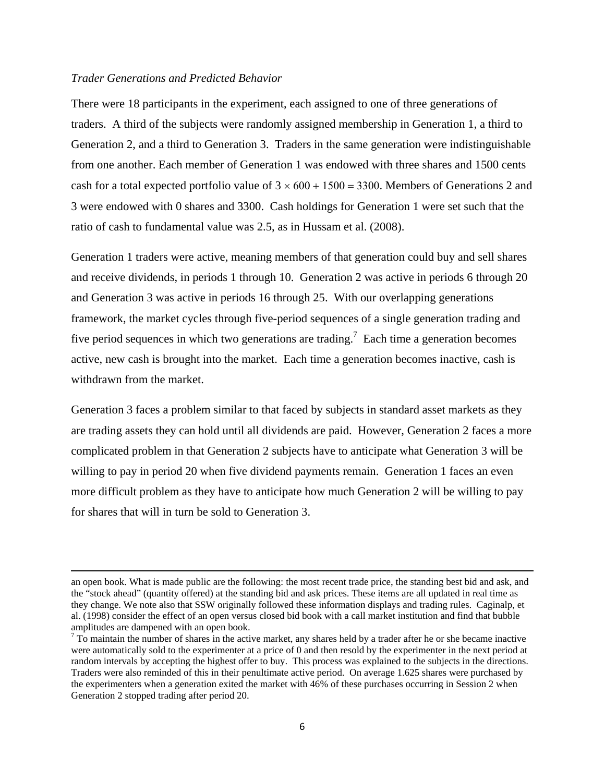#### *Trader Generations and Predicted Behavior*

There were 18 participants in the experiment, each assigned to one of three generations of traders. A third of the subjects were randomly assigned membership in Generation 1, a third to Generation 2, and a third to Generation 3. Traders in the same generation were indistinguishable from one another. Each member of Generation 1 was endowed with three shares and 1500 cents cash for a total expected portfolio value of  $3 \times 600 + 1500 = 3300$ . Members of Generations 2 and 3 were endowed with 0 shares and 3300. Cash holdings for Generation 1 were set such that the ratio of cash to fundamental value was 2.5, as in Hussam et al. (2008).

Generation 1 traders were active, meaning members of that generation could buy and sell shares and receive dividends, in periods 1 through 10. Generation 2 was active in periods 6 through 20 and Generation 3 was active in periods 16 through 25. With our overlapping generations framework, the market cycles through five-period sequences of a single generation trading and five period sequences in which two generations are trading.<sup>7</sup> Each time a generation becomes active, new cash is brought into the market. Each time a generation becomes inactive, cash is withdrawn from the market.

Generation 3 faces a problem similar to that faced by subjects in standard asset markets as they are trading assets they can hold until all dividends are paid. However, Generation 2 faces a more complicated problem in that Generation 2 subjects have to anticipate what Generation 3 will be willing to pay in period 20 when five dividend payments remain. Generation 1 faces an even more difficult problem as they have to anticipate how much Generation 2 will be willing to pay for shares that will in turn be sold to Generation 3.

<u> 1989 - Johann Stein, marwolaethau a gweledydd a ganlad y ganlad y ganlad y ganlad y ganlad y ganlad y ganlad</u>

an open book. What is made public are the following: the most recent trade price, the standing best bid and ask, and the "stock ahead" (quantity offered) at the standing bid and ask prices. These items are all updated in real time as they change. We note also that SSW originally followed these information displays and trading rules. Caginalp, et al. (1998) consider the effect of an open versus closed bid book with a call market institution and find that bubble amplitudes are dampened with an open book.

 $<sup>7</sup>$  To maintain the number of shares in the active market, any shares held by a trader after he or she became inactive</sup> were automatically sold to the experimenter at a price of 0 and then resold by the experimenter in the next period at random intervals by accepting the highest offer to buy. This process was explained to the subjects in the directions. Traders were also reminded of this in their penultimate active period. On average 1.625 shares were purchased by the experimenters when a generation exited the market with 46% of these purchases occurring in Session 2 when Generation 2 stopped trading after period 20.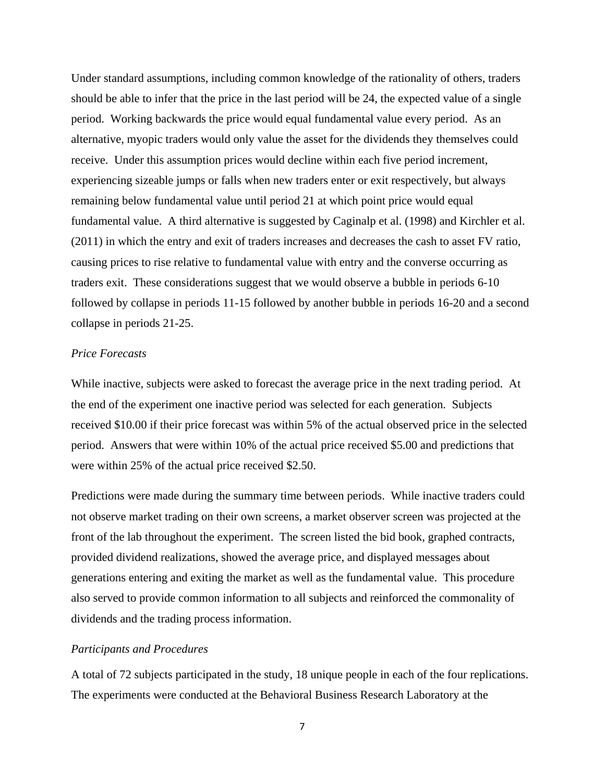Under standard assumptions, including common knowledge of the rationality of others, traders should be able to infer that the price in the last period will be 24, the expected value of a single period. Working backwards the price would equal fundamental value every period. As an alternative, myopic traders would only value the asset for the dividends they themselves could receive. Under this assumption prices would decline within each five period increment, experiencing sizeable jumps or falls when new traders enter or exit respectively, but always remaining below fundamental value until period 21 at which point price would equal fundamental value. A third alternative is suggested by Caginalp et al. (1998) and Kirchler et al. (2011) in which the entry and exit of traders increases and decreases the cash to asset FV ratio, causing prices to rise relative to fundamental value with entry and the converse occurring as traders exit. These considerations suggest that we would observe a bubble in periods 6-10 followed by collapse in periods 11-15 followed by another bubble in periods 16-20 and a second collapse in periods 21-25.

#### *Price Forecasts*

While inactive, subjects were asked to forecast the average price in the next trading period. At the end of the experiment one inactive period was selected for each generation. Subjects received \$10.00 if their price forecast was within 5% of the actual observed price in the selected period. Answers that were within 10% of the actual price received \$5.00 and predictions that were within 25% of the actual price received \$2.50.

Predictions were made during the summary time between periods. While inactive traders could not observe market trading on their own screens, a market observer screen was projected at the front of the lab throughout the experiment. The screen listed the bid book, graphed contracts, provided dividend realizations, showed the average price, and displayed messages about generations entering and exiting the market as well as the fundamental value. This procedure also served to provide common information to all subjects and reinforced the commonality of dividends and the trading process information.

#### *Participants and Procedures*

A total of 72 subjects participated in the study, 18 unique people in each of the four replications. The experiments were conducted at the Behavioral Business Research Laboratory at the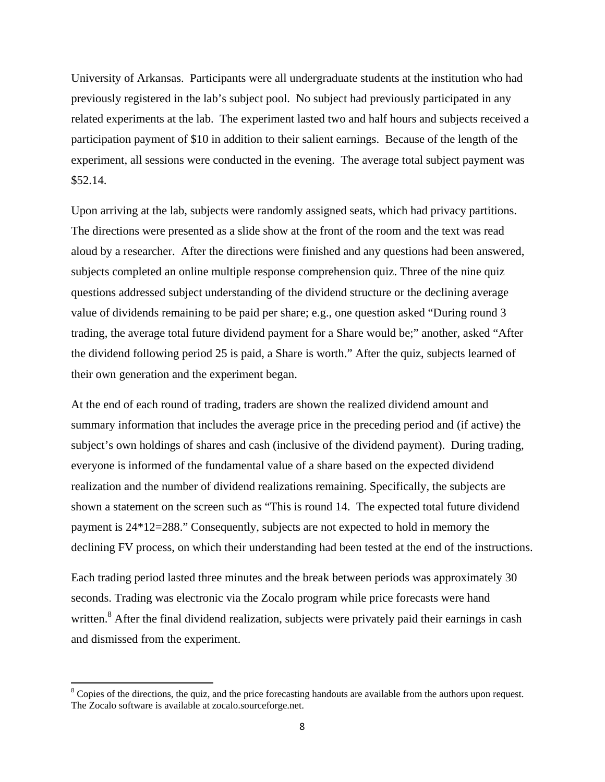University of Arkansas. Participants were all undergraduate students at the institution who had previously registered in the lab's subject pool. No subject had previously participated in any related experiments at the lab. The experiment lasted two and half hours and subjects received a participation payment of \$10 in addition to their salient earnings. Because of the length of the experiment, all sessions were conducted in the evening. The average total subject payment was \$52.14.

Upon arriving at the lab, subjects were randomly assigned seats, which had privacy partitions. The directions were presented as a slide show at the front of the room and the text was read aloud by a researcher. After the directions were finished and any questions had been answered, subjects completed an online multiple response comprehension quiz. Three of the nine quiz questions addressed subject understanding of the dividend structure or the declining average value of dividends remaining to be paid per share; e.g., one question asked "During round 3 trading, the average total future dividend payment for a Share would be;" another, asked "After the dividend following period 25 is paid, a Share is worth." After the quiz, subjects learned of their own generation and the experiment began.

At the end of each round of trading, traders are shown the realized dividend amount and summary information that includes the average price in the preceding period and (if active) the subject's own holdings of shares and cash (inclusive of the dividend payment). During trading, everyone is informed of the fundamental value of a share based on the expected dividend realization and the number of dividend realizations remaining. Specifically, the subjects are shown a statement on the screen such as "This is round 14. The expected total future dividend payment is 24\*12=288." Consequently, subjects are not expected to hold in memory the declining FV process, on which their understanding had been tested at the end of the instructions.

Each trading period lasted three minutes and the break between periods was approximately 30 seconds. Trading was electronic via the Zocalo program while price forecasts were hand written.<sup>8</sup> After the final dividend realization, subjects were privately paid their earnings in cash and dismissed from the experiment.

 $8$  Copies of the directions, the quiz, and the price forecasting handouts are available from the authors upon request. The Zocalo software is available at zocalo.sourceforge.net.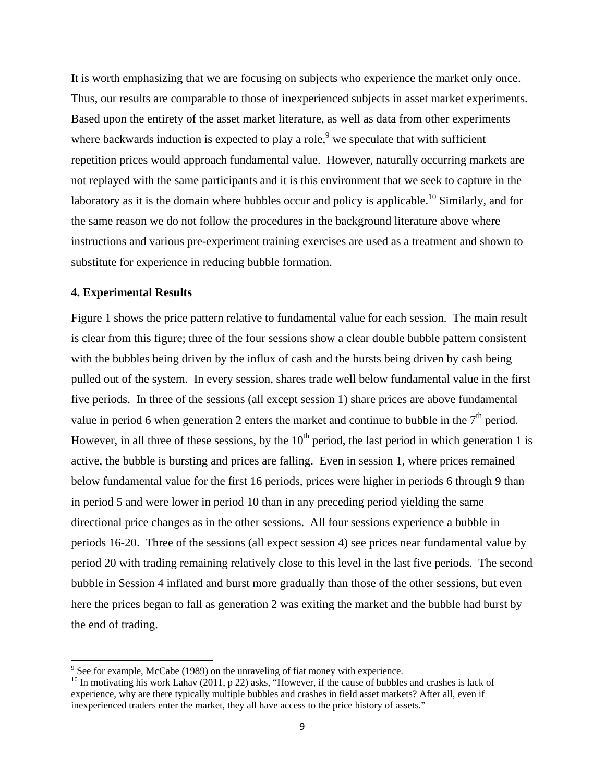It is worth emphasizing that we are focusing on subjects who experience the market only once. Thus, our results are comparable to those of inexperienced subjects in asset market experiments. Based upon the entirety of the asset market literature, as well as data from other experiments where backwards induction is expected to play a role,  $9$  we speculate that with sufficient repetition prices would approach fundamental value. However, naturally occurring markets are not replayed with the same participants and it is this environment that we seek to capture in the laboratory as it is the domain where bubbles occur and policy is applicable.<sup>10</sup> Similarly, and for the same reason we do not follow the procedures in the background literature above where instructions and various pre-experiment training exercises are used as a treatment and shown to substitute for experience in reducing bubble formation.

#### **4. Experimental Results**

Figure 1 shows the price pattern relative to fundamental value for each session. The main result is clear from this figure; three of the four sessions show a clear double bubble pattern consistent with the bubbles being driven by the influx of cash and the bursts being driven by cash being pulled out of the system. In every session, shares trade well below fundamental value in the first five periods. In three of the sessions (all except session 1) share prices are above fundamental value in period 6 when generation 2 enters the market and continue to bubble in the  $7<sup>th</sup>$  period. However, in all three of these sessions, by the  $10<sup>th</sup>$  period, the last period in which generation 1 is active, the bubble is bursting and prices are falling. Even in session 1, where prices remained below fundamental value for the first 16 periods, prices were higher in periods 6 through 9 than in period 5 and were lower in period 10 than in any preceding period yielding the same directional price changes as in the other sessions. All four sessions experience a bubble in periods 16-20. Three of the sessions (all expect session 4) see prices near fundamental value by period 20 with trading remaining relatively close to this level in the last five periods. The second bubble in Session 4 inflated and burst more gradually than those of the other sessions, but even here the prices began to fall as generation 2 was exiting the market and the bubble had burst by the end of trading.

 $9^9$  See for example, McCabe (1989) on the unraveling of fiat money with experience.

See for example, McCabe (1989) on the unraveling of the unit money in the cause of bubbles and crashes is lack of  $^{10}$  In motivating his work Lahav (2011, p 22) asks, "However, if the cause of bubbles and crashes is lac experience, why are there typically multiple bubbles and crashes in field asset markets? After all, even if inexperienced traders enter the market, they all have access to the price history of assets."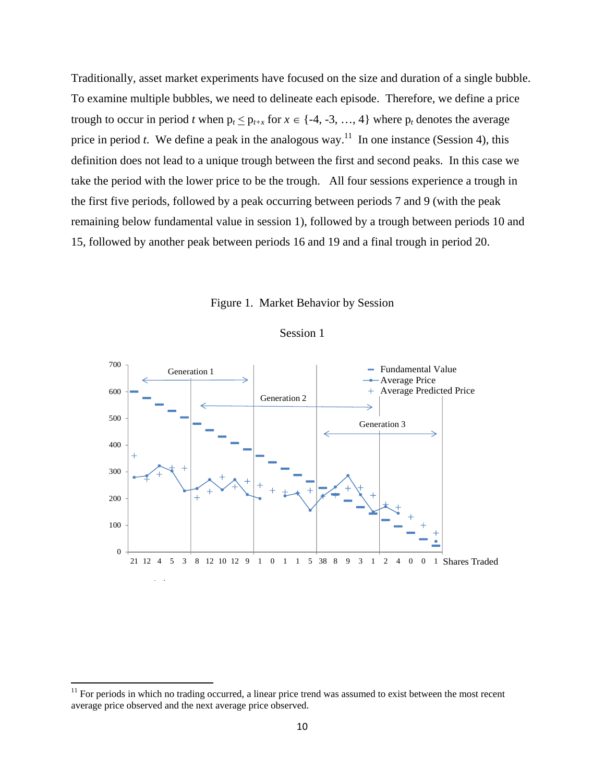Traditionally, asset market experiments have focused on the size and duration of a single bubble. To examine multiple bubbles, we need to delineate each episode. Therefore, we define a price trough to occur in period *t* when  $p_t < p_{t+x}$  for  $x \in \{-4, -3, ..., 4\}$  where  $p_t$  denotes the average price in period *t*. We define a peak in the analogous way.<sup>11</sup> In one instance (Session 4), this definition does not lead to a unique trough between the first and second peaks. In this case we take the period with the lower price to be the trough. All four sessions experience a trough in the first five periods, followed by a peak occurring between periods 7 and 9 (with the peak remaining below fundamental value in session 1), followed by a trough between periods 10 and 15, followed by another peak between periods 16 and 19 and a final trough in period 20.





Session 1

<sup>&</sup>lt;sup>11</sup> For periods in which no trading occurred, a linear price trend was assumed to exist between the most recent average price observed and the next average price observed.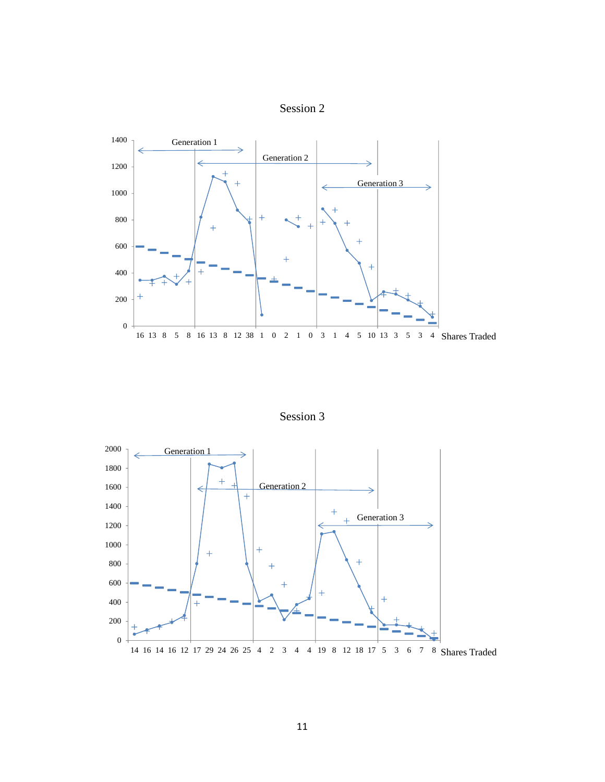



Session 3

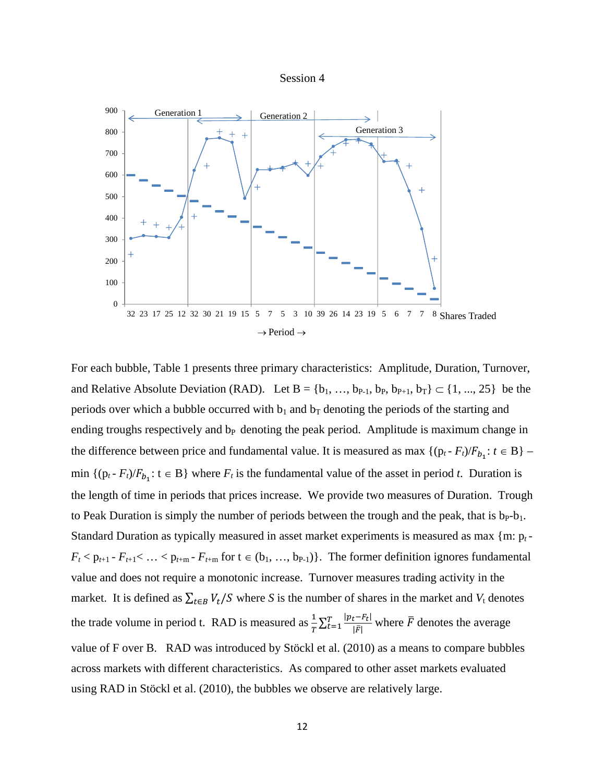Session 4



For each bubble, Table 1 presents three primary characteristics: Amplitude, Duration, Turnover, and Relative Absolute Deviation (RAD). Let  $B = \{b_1, ..., b_{P-1}, b_P, b_{P+1}, b_T\} \subset \{1, ..., 25\}$  be the periods over which a bubble occurred with  $b_1$  and  $b_T$  denoting the periods of the starting and ending troughs respectively and  $b<sub>P</sub>$  denoting the peak period. Amplitude is maximum change in the difference between price and fundamental value. It is measured as max  $\{(p_t - F_t)/F_{b_1}: t \in B\}$ min  $\{(p_t - F_t)/F_{b_1}: t \in B\}$  where  $F_t$  is the fundamental value of the asset in period *t*. Duration is the length of time in periods that prices increase. We provide two measures of Duration. Trough to Peak Duration is simply the number of periods between the trough and the peak, that is  $b_P - b_1$ . Standard Duration as typically measured in asset market experiments is measured as max {m: p*t* -  $F_t < p_{t+1} - F_{t+1} < ... < p_{t+m} - F_{t+m}$  for  $t \in (b_1, ..., b_{p-1})$ . The former definition ignores fundamental value and does not require a monotonic increase. Turnover measures trading activity in the market. It is defined as  $\sum_{t \in B} V_t / S$  where *S* is the number of shares in the market and  $V_t$  denotes the trade volume in period t. RAD is measured as  $\frac{1}{T} \sum_{t=1}^{T} \frac{|p_t - F_t|}{|\bar{F}|}$  $T_{t=1} \frac{|p_t - F_t|}{|\bar{F}|}$  where  $\bar{F}$  denotes the average value of F over B. RAD was introduced by Stöckl et al. (2010) as a means to compare bubbles across markets with different characteristics. As compared to other asset markets evaluated using RAD in Stöckl et al. (2010), the bubbles we observe are relatively large.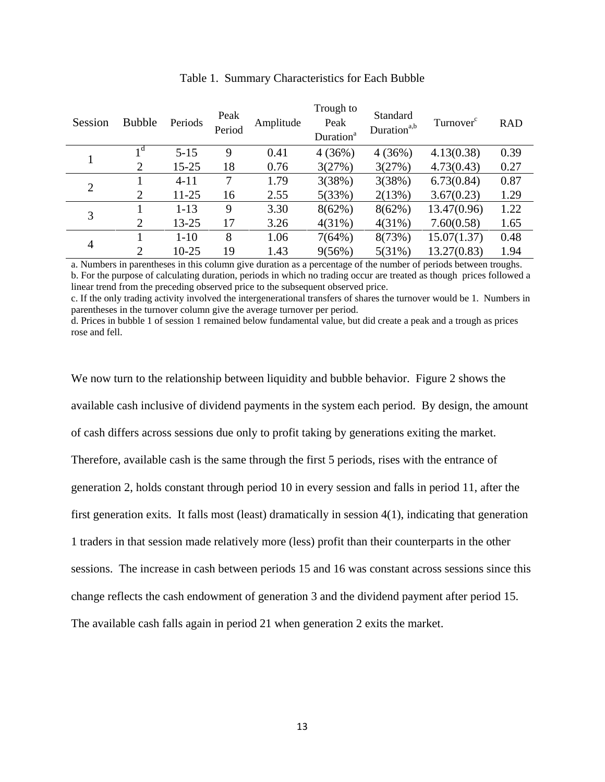| Session        | <b>Bubble</b> | Periods   | Peak<br>Period | Amplitude | Trough to<br>Peak<br>Duration <sup>a</sup> | Standard<br>Duration <sup>a,b</sup> | Turnover <sup>c</sup> | <b>RAD</b> |
|----------------|---------------|-----------|----------------|-----------|--------------------------------------------|-------------------------------------|-----------------------|------------|
|                | $\mathbf{d}$  | $5 - 15$  | 9              | 0.41      | 4(36%)                                     | 4(36%)                              | 4.13(0.38)            | 0.39       |
|                | 2             | $15 - 25$ | 18             | 0.76      | 3(27%)                                     | 3(27%)                              | 4.73(0.43)            | 0.27       |
| $\overline{2}$ |               | $4 - 11$  | 7              | 1.79      | 3(38%)                                     | 3(38%)                              | 6.73(0.84)            | 0.87       |
|                | 2             | $11 - 25$ | 16             | 2.55      | 5(33%)                                     | 2(13%)                              | 3.67(0.23)            | 1.29       |
| 3              |               | $1 - 13$  | 9              | 3.30      | 8(62%)                                     | $8(62\%)$                           | 13.47(0.96)           | 1.22       |
|                | 2             | $13 - 25$ | 17             | 3.26      | 4(31%)                                     | 4(31%)                              | 7.60(0.58)            | 1.65       |
| $\overline{4}$ |               | $1 - 10$  | 8              | 1.06      | 7(64%)                                     | 8(73%)                              | 15.07(1.37)           | 0.48       |
|                | 2             | $10-25$   | 19             | 1.43      | 9(56%)                                     | 5(31%)                              | 13.27(0.83)           | 1.94       |

#### Table 1. Summary Characteristics for Each Bubble

a. Numbers in parentheses in this column give duration as a percentage of the number of periods between troughs. b. For the purpose of calculating duration, periods in which no trading occur are treated as though prices followed a linear trend from the preceding observed price to the subsequent observed price.

c. If the only trading activity involved the intergenerational transfers of shares the turnover would be 1. Numbers in parentheses in the turnover column give the average turnover per period.

d. Prices in bubble 1 of session 1 remained below fundamental value, but did create a peak and a trough as prices rose and fell.

We now turn to the relationship between liquidity and bubble behavior. Figure 2 shows the available cash inclusive of dividend payments in the system each period. By design, the amount of cash differs across sessions due only to profit taking by generations exiting the market. Therefore, available cash is the same through the first 5 periods, rises with the entrance of generation 2, holds constant through period 10 in every session and falls in period 11, after the first generation exits. It falls most (least) dramatically in session 4(1), indicating that generation 1 traders in that session made relatively more (less) profit than their counterparts in the other sessions. The increase in cash between periods 15 and 16 was constant across sessions since this change reflects the cash endowment of generation 3 and the dividend payment after period 15. The available cash falls again in period 21 when generation 2 exits the market.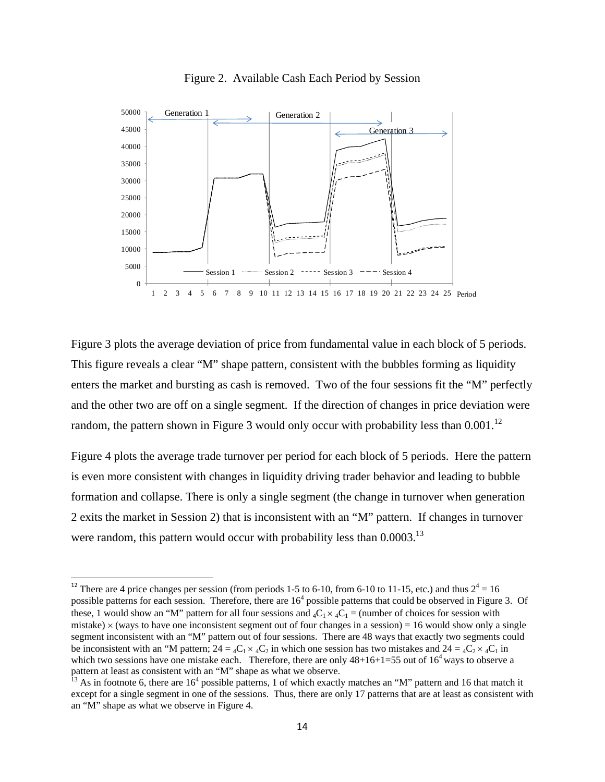

Figure 2. Available Cash Each Period by Session

Figure 3 plots the average deviation of price from fundamental value in each block of 5 periods. This figure reveals a clear "M" shape pattern, consistent with the bubbles forming as liquidity enters the market and bursting as cash is removed. Two of the four sessions fit the "M" perfectly and the other two are off on a single segment. If the direction of changes in price deviation were random, the pattern shown in Figure 3 would only occur with probability less than  $0.001$ .<sup>12</sup>

Figure 4 plots the average trade turnover per period for each block of 5 periods. Here the pattern is even more consistent with changes in liquidity driving trader behavior and leading to bubble formation and collapse. There is only a single segment (the change in turnover when generation 2 exits the market in Session 2) that is inconsistent with an "M" pattern. If changes in turnover were random, this pattern would occur with probability less than 0.0003.<sup>13</sup>

<sup>&</sup>lt;sup>12</sup> There are 4 price changes per session (from periods 1-5 to 6-10, from 6-10 to 11-15, etc.) and thus  $2^4 = 16$ possible patterns for each session. Therefore, there are  $16<sup>4</sup>$  possible patterns that could be observed in Figure 3. Of these, 1 would show an "M" pattern for all four sessions and  ${}_{4}C_{1} \times {}_{4}C_{1}$  = (number of choices for session with mistake)  $\times$  (ways to have one inconsistent segment out of four changes in a session) = 16 would show only a single segment inconsistent with an "M" pattern out of four sessions. There are 48 ways that exactly two segments could be inconsistent with an "M pattern;  $24 = {}_4C_1 \times {}_4C_2$  in which one session has two mistakes and  $24 = {}_4C_2 \times {}_4C_1$  in which two sessions have one mistake each. Therefore, there are only  $48+16+1=55$  out of  $16<sup>4</sup>$  ways to observe a pattern at least as consistent with an "M" shape as what we observe.<br><sup>13</sup> As in footnote 6, there are 16<sup>4</sup> possible patterns, 1 of which exactly matches an "M" pattern and 16 that match it

except for a single segment in one of the sessions. Thus, there are only 17 patterns that are at least as consistent with an "M" shape as what we observe in Figure 4.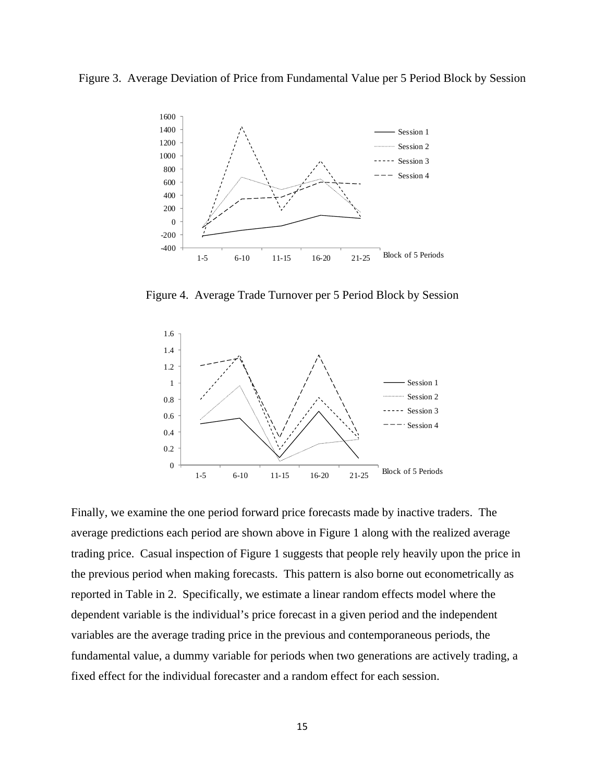



Figure 4. Average Trade Turnover per 5 Period Block by Session



Finally, we examine the one period forward price forecasts made by inactive traders. The average predictions each period are shown above in Figure 1 along with the realized average trading price. Casual inspection of Figure 1 suggests that people rely heavily upon the price in the previous period when making forecasts. This pattern is also borne out econometrically as reported in Table in 2. Specifically, we estimate a linear random effects model where the dependent variable is the individual's price forecast in a given period and the independent variables are the average trading price in the previous and contemporaneous periods, the fundamental value, a dummy variable for periods when two generations are actively trading, a fixed effect for the individual forecaster and a random effect for each session.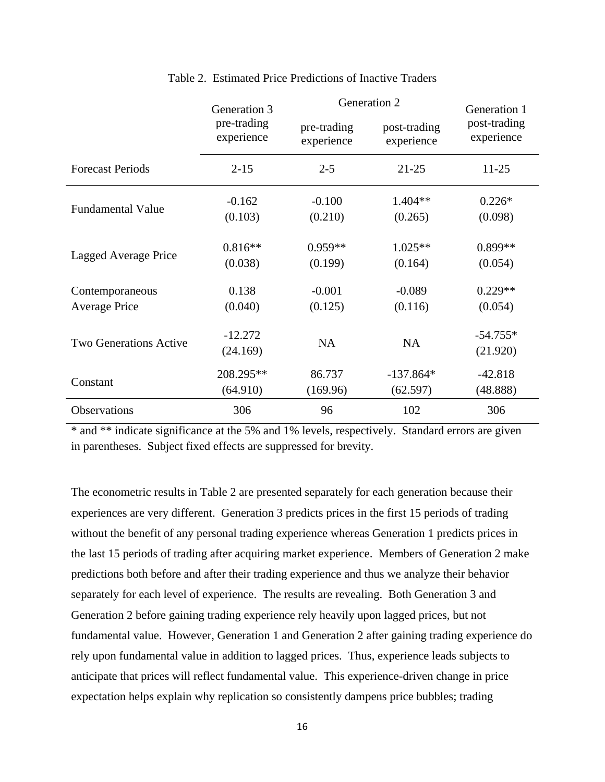|                               | Generation 3          | Generation 2 | Generation 1 |                        |  |
|-------------------------------|-----------------------|--------------|--------------|------------------------|--|
|                               | pre-trading           | pre-trading  | post-trading | post-trading           |  |
|                               | experience            | experience   | experience   | experience             |  |
| <b>Forecast Periods</b>       | $2 - 15$              | $2 - 5$      | $21 - 25$    | $11 - 25$              |  |
| <b>Fundamental Value</b>      | $-0.162$              | $-0.100$     | $1.404**$    | $0.226*$               |  |
|                               | (0.103)               | (0.210)      | (0.265)      | (0.098)                |  |
| Lagged Average Price          | $0.816**$             | $0.959**$    | $1.025**$    | $0.899**$              |  |
|                               | (0.038)               | (0.199)      | (0.164)      | (0.054)                |  |
| Contemporaneous               | 0.138                 | $-0.001$     | $-0.089$     | $0.229**$              |  |
| <b>Average Price</b>          | (0.040)               | (0.125)      | (0.116)      | (0.054)                |  |
| <b>Two Generations Active</b> | $-12.272$<br>(24.169) | <b>NA</b>    | <b>NA</b>    | $-54.755*$<br>(21.920) |  |
| Constant                      | 208.295**             | 86.737       | $-137.864*$  | $-42.818$              |  |
|                               | (64.910)              | (169.96)     | (62.597)     | (48.888)               |  |
| Observations                  | 306                   | 96           | 102          | 306                    |  |

#### Table 2. Estimated Price Predictions of Inactive Traders

\* and \*\* indicate significance at the 5% and 1% levels, respectively. Standard errors are given in parentheses. Subject fixed effects are suppressed for brevity.

The econometric results in Table 2 are presented separately for each generation because their experiences are very different. Generation 3 predicts prices in the first 15 periods of trading without the benefit of any personal trading experience whereas Generation 1 predicts prices in the last 15 periods of trading after acquiring market experience. Members of Generation 2 make predictions both before and after their trading experience and thus we analyze their behavior separately for each level of experience. The results are revealing. Both Generation 3 and Generation 2 before gaining trading experience rely heavily upon lagged prices, but not fundamental value. However, Generation 1 and Generation 2 after gaining trading experience do rely upon fundamental value in addition to lagged prices. Thus, experience leads subjects to anticipate that prices will reflect fundamental value. This experience-driven change in price expectation helps explain why replication so consistently dampens price bubbles; trading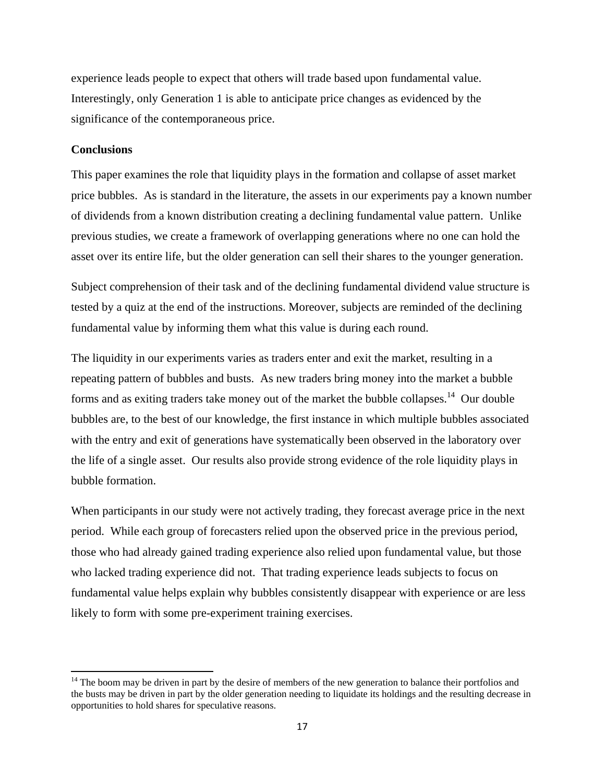experience leads people to expect that others will trade based upon fundamental value. Interestingly, only Generation 1 is able to anticipate price changes as evidenced by the significance of the contemporaneous price.

#### **Conclusions**

This paper examines the role that liquidity plays in the formation and collapse of asset market price bubbles. As is standard in the literature, the assets in our experiments pay a known number of dividends from a known distribution creating a declining fundamental value pattern. Unlike previous studies, we create a framework of overlapping generations where no one can hold the asset over its entire life, but the older generation can sell their shares to the younger generation.

Subject comprehension of their task and of the declining fundamental dividend value structure is tested by a quiz at the end of the instructions. Moreover, subjects are reminded of the declining fundamental value by informing them what this value is during each round.

The liquidity in our experiments varies as traders enter and exit the market, resulting in a repeating pattern of bubbles and busts. As new traders bring money into the market a bubble forms and as exiting traders take money out of the market the bubble collapses.<sup>14</sup> Our double bubbles are, to the best of our knowledge, the first instance in which multiple bubbles associated with the entry and exit of generations have systematically been observed in the laboratory over the life of a single asset. Our results also provide strong evidence of the role liquidity plays in bubble formation.

When participants in our study were not actively trading, they forecast average price in the next period. While each group of forecasters relied upon the observed price in the previous period, those who had already gained trading experience also relied upon fundamental value, but those who lacked trading experience did not. That trading experience leads subjects to focus on fundamental value helps explain why bubbles consistently disappear with experience or are less likely to form with some pre-experiment training exercises.

 $14$  The boom may be driven in part by the desire of members of the new generation to balance their portfolios and the busts may be driven in part by the older generation needing to liquidate its holdings and the resulting decrease in opportunities to hold shares for speculative reasons.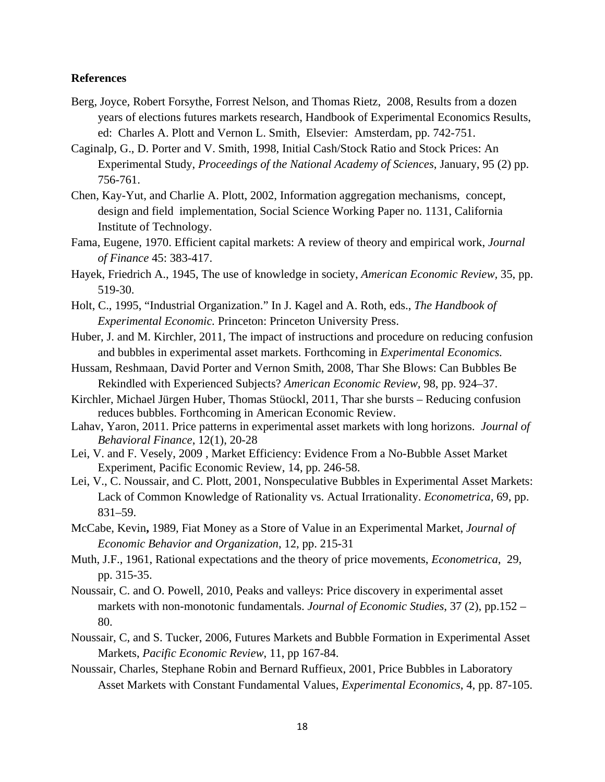### **References**

- Berg, Joyce, Robert Forsythe, Forrest Nelson, and Thomas Rietz, 2008, Results from a dozen years of elections futures markets research, Handbook of Experimental Economics Results, ed: Charles A. Plott and Vernon L. Smith, Elsevier: Amsterdam, pp. 742-751.
- Caginalp, G., D. Porter and V. Smith, 1998, Initial Cash/Stock Ratio and Stock Prices: An Experimental Study, *Proceedings of the National Academy of Sciences*, January, 95 (2) pp. 756-761.
- Chen, Kay-Yut, and Charlie A. Plott, 2002, Information aggregation mechanisms, concept, design and field implementation, Social Science Working Paper no. 1131, California Institute of Technology.
- Fama, Eugene, 1970. Efficient capital markets: A review of theory and empirical work, *Journal of Finance* 45: 383-417.
- Hayek, Friedrich A., 1945, The use of knowledge in society, *American Economic Review,* 35, pp. 519-30.
- Holt, C., 1995, "Industrial Organization." In J. Kagel and A. Roth, eds., *The Handbook of Experimental Economic.* Princeton: Princeton University Press.
- Huber, J. and M. Kirchler, 2011, The impact of instructions and procedure on reducing confusion and bubbles in experimental asset markets. Forthcoming in *Experimental Economics.*
- Hussam, Reshmaan, David Porter and Vernon Smith, 2008, Thar She Blows: Can Bubbles Be Rekindled with Experienced Subjects? *American Economic Review,* 98, pp. 924–37.
- Kirchler, Michael Jürgen Huber, Thomas Stüockl, 2011, Thar she bursts Reducing confusion reduces bubbles. Forthcoming in American Economic Review.
- Lahav, Yaron, 2011. Price patterns in experimental asset markets with long horizons. *Journal of Behavioral Finance*, 12(1), 20-28
- Lei, V. and F. Vesely, 2009 , Market Efficiency: Evidence From a No-Bubble Asset Market Experiment, Pacific Economic Review, 14, pp. 246-58.
- Lei, V., C. Noussair, and C. Plott, 2001, Nonspeculative Bubbles in Experimental Asset Markets: Lack of Common Knowledge of Rationality vs. Actual Irrationality. *Econometrica,* 69, pp. 831–59.
- McCabe, Kevin**,** 1989, Fiat Money as a Store of Value in an Experimental Market, *Journal of Economic Behavior and Organization*, 12, pp. 215-31
- Muth, J.F., 1961, Rational expectations and the theory of price movements, *Econometrica*, 29, pp. 315-35.
- Noussair, C. and O. Powell, 2010, Peaks and valleys: Price discovery in experimental asset markets with non-monotonic fundamentals. *Journal of Economic Studies*, 37 (2), pp.152 – 80.
- Noussair, C, and S. Tucker, 2006, Futures Markets and Bubble Formation in Experimental Asset Markets, *Pacific Economic Review*, 11, pp 167-84.
- Noussair, Charles, Stephane Robin and Bernard Ruffieux, 2001, Price Bubbles in Laboratory Asset Markets with Constant Fundamental Values, *Experimental Economics*, 4, pp. 87-105.